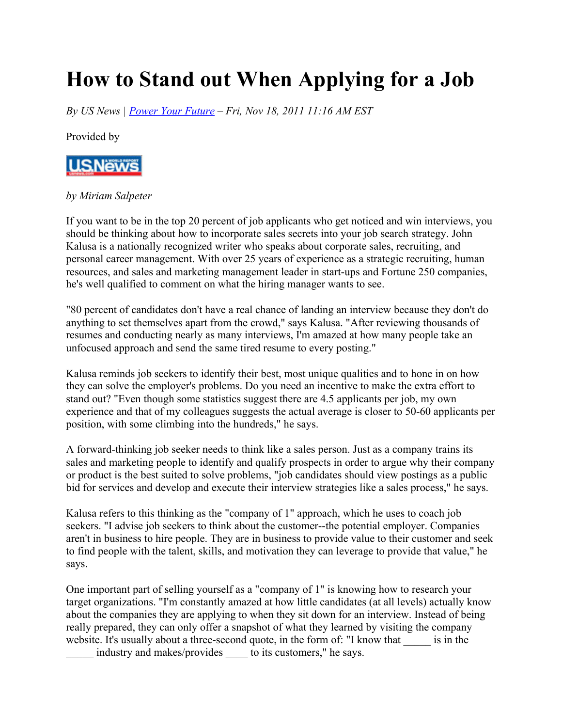## **How to Stand out When Applying for a Job**

*By US News | Power Your Future – Fri, Nov 18, 2011 11:16 AM EST*

Provided by



## *by Miriam Salpeter*

If you want to be in the top 20 percent of job applicants who get noticed and win interviews, you should be thinking about how to incorporate sales secrets into your job search strategy. John Kalusa is a nationally recognized writer who speaks about corporate sales, recruiting, and personal career management. With over 25 years of experience as a strategic recruiting, human resources, and sales and marketing management leader in start-ups and Fortune 250 companies, he's well qualified to comment on what the hiring manager wants to see.

"80 percent of candidates don't have a real chance of landing an interview because they don't do anything to set themselves apart from the crowd," says Kalusa. "After reviewing thousands of resumes and conducting nearly as many interviews, I'm amazed at how many people take an unfocused approach and send the same tired resume to every posting."

Kalusa reminds job seekers to identify their best, most unique qualities and to hone in on how they can solve the employer's problems. Do you need an incentive to make the extra effort to stand out? "Even though some statistics suggest there are 4.5 applicants per job, my own experience and that of my colleagues suggests the actual average is closer to 50-60 applicants per position, with some climbing into the hundreds," he says.

A forward-thinking job seeker needs to think like a sales person. Just as a company trains its sales and marketing people to identify and qualify prospects in order to argue why their company or product is the best suited to solve problems, "job candidates should view postings as a public bid for services and develop and execute their interview strategies like a sales process," he says.

Kalusa refers to this thinking as the "company of 1" approach, which he uses to coach job seekers. "I advise job seekers to think about the customer--the potential employer. Companies aren't in business to hire people. They are in business to provide value to their customer and seek to find people with the talent, skills, and motivation they can leverage to provide that value," he says.

One important part of selling yourself as a "company of 1" is knowing how to research your target organizations. "I'm constantly amazed at how little candidates (at all levels) actually know about the companies they are applying to when they sit down for an interview. Instead of being really prepared, they can only offer a snapshot of what they learned by visiting the company website. It's usually about a three-second quote, in the form of: "I know that \_\_\_\_\_ is in the industry and makes/provides to its customers," he says.